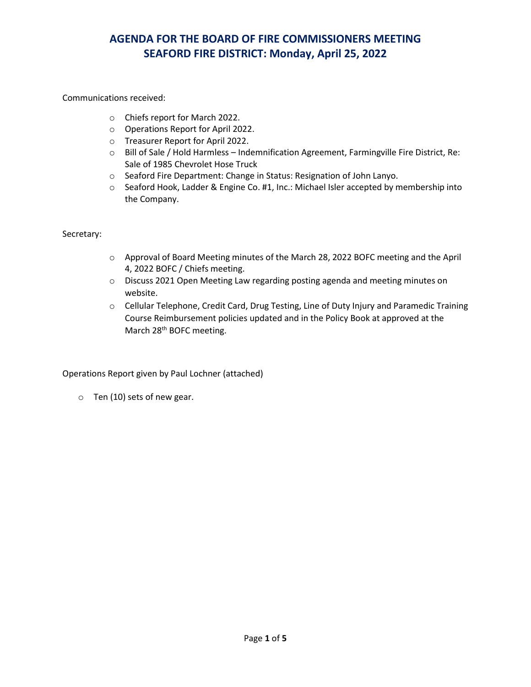### Communications received:

- o Chiefs report for March 2022.
- o Operations Report for April 2022.
- o Treasurer Report for April 2022.
- o Bill of Sale / Hold Harmless Indemnification Agreement, Farmingville Fire District, Re: Sale of 1985 Chevrolet Hose Truck
- o Seaford Fire Department: Change in Status: Resignation of John Lanyo.
- o Seaford Hook, Ladder & Engine Co. #1, Inc.: Michael Isler accepted by membership into the Company.

#### Secretary:

- o Approval of Board Meeting minutes of the March 28, 2022 BOFC meeting and the April 4, 2022 BOFC / Chiefs meeting.
- o Discuss 2021 Open Meeting Law regarding posting agenda and meeting minutes on website.
- o Cellular Telephone, Credit Card, Drug Testing, Line of Duty Injury and Paramedic Training Course Reimbursement policies updated and in the Policy Book at approved at the March 28<sup>th</sup> BOFC meeting.

### Operations Report given by Paul Lochner (attached)

o Ten (10) sets of new gear.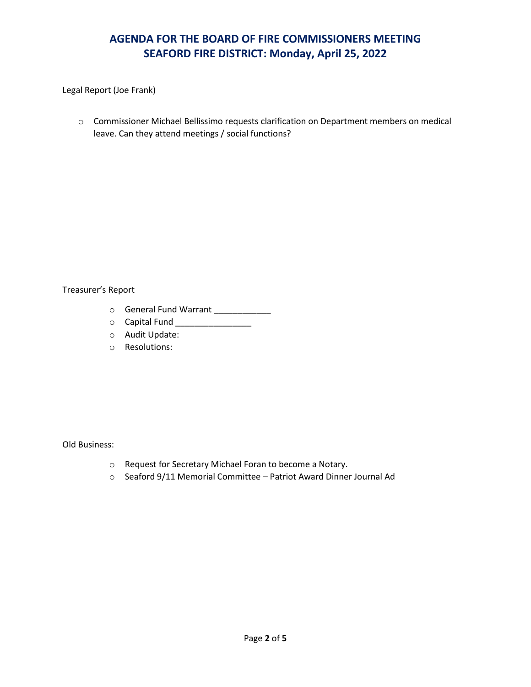Legal Report (Joe Frank)

o Commissioner Michael Bellissimo requests clarification on Department members on medical leave. Can they attend meetings / social functions?

#### Treasurer's Report

- o General Fund Warrant \_\_\_\_\_\_\_\_\_\_\_\_
- o Capital Fund \_\_\_\_\_\_\_\_\_\_\_\_\_\_\_\_
- o Audit Update:
- o Resolutions:

#### Old Business:

- o Request for Secretary Michael Foran to become a Notary.
- o Seaford 9/11 Memorial Committee Patriot Award Dinner Journal Ad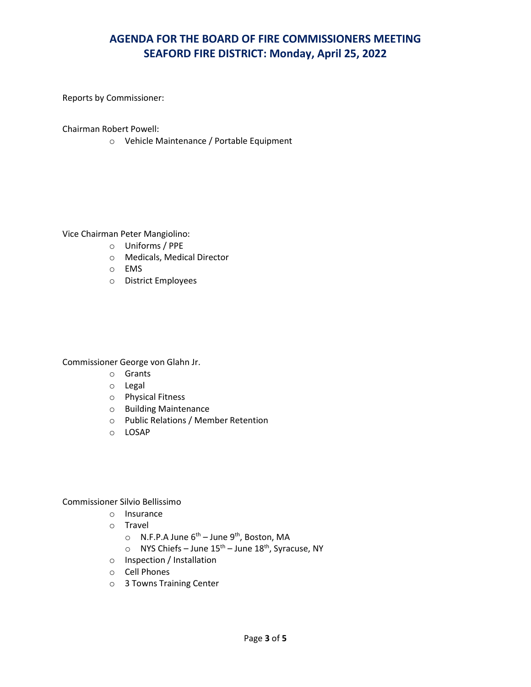Reports by Commissioner:

Chairman Robert Powell:

o Vehicle Maintenance / Portable Equipment

Vice Chairman Peter Mangiolino:

- o Uniforms / PPE
- o Medicals, Medical Director
- o EMS
- o District Employees

Commissioner George von Glahn Jr.

- o Grants
- o Legal
- o Physical Fitness
- o Building Maintenance
- o Public Relations / Member Retention
- o LOSAP

Commissioner Silvio Bellissimo

- o Insurance
- o Travel
	- $\circ$  N.F.P.A June 6<sup>th</sup> June 9<sup>th</sup>, Boston, MA
	- $\circ$  NYS Chiefs June 15<sup>th</sup> June 18<sup>th</sup>, Syracuse, NY
- o Inspection / Installation
- o Cell Phones
- o 3 Towns Training Center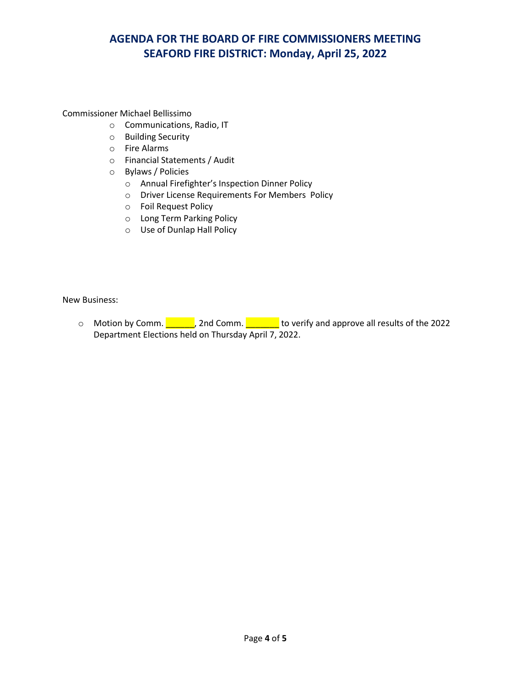Commissioner Michael Bellissimo

- o Communications, Radio, IT
- o Building Security
- o Fire Alarms
- o Financial Statements / Audit
- o Bylaws / Policies
	- o Annual Firefighter's Inspection Dinner Policy
	- o Driver License Requirements For Members Policy
	- o Foil Request Policy
	- o Long Term Parking Policy
	- o Use of Dunlap Hall Policy

New Business:

o Motion by Comm. 2022 2nd Comm. 2008 to verify and approve all results of the 2022 Department Elections held on Thursday April 7, 2022.